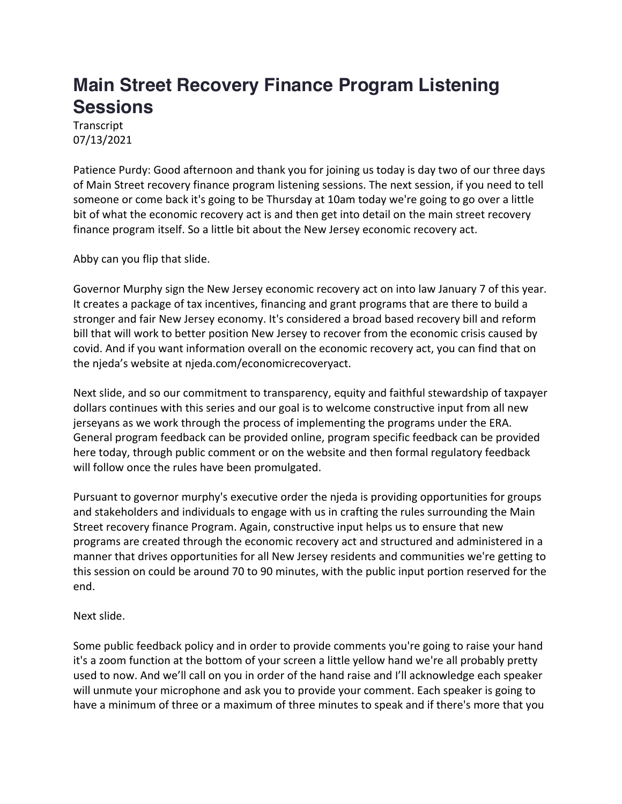## **Main Street Recovery Finance Program Listening Sessions**

**Transcript** 07/13/2021

Patience Purdy: Good afternoon and thank you for joining us today is day two of our three days of Main Street recovery finance program listening sessions. The next session, if you need to tell someone or come back it's going to be Thursday at 10am today we're going to go over a little bit of what the economic recovery act is and then get into detail on the main street recovery finance program itself. So a little bit about the New Jersey economic recovery act.

Abby can you flip that slide.

Governor Murphy sign the New Jersey economic recovery act on into law January 7 of this year. It creates a package of tax incentives, financing and grant programs that are there to build a stronger and fair New Jersey economy. It's considered a broad based recovery bill and reform bill that will work to better position New Jersey to recover from the economic crisis caused by covid. And if you want information overall on the economic recovery act, you can find that on the njeda's website at njeda.com/economicrecoveryact.

Next slide, and so our commitment to transparency, equity and faithful stewardship of taxpayer dollars continues with this series and our goal is to welcome constructive input from all new jerseyans as we work through the process of implementing the programs under the ERA. General program feedback can be provided online, program specific feedback can be provided here today, through public comment or on the website and then formal regulatory feedback will follow once the rules have been promulgated.

Pursuant to governor murphy's executive order the njeda is providing opportunities for groups and stakeholders and individuals to engage with us in crafting the rules surrounding the Main Street recovery finance Program. Again, constructive input helps us to ensure that new programs are created through the economic recovery act and structured and administered in a manner that drives opportunities for all New Jersey residents and communities we're getting to this session on could be around 70 to 90 minutes, with the public input portion reserved for the end.

Next slide.

Some public feedback policy and in order to provide comments you're going to raise your hand it's a zoom function at the bottom of your screen a little yellow hand we're all probably pretty used to now. And we'll call on you in order of the hand raise and I'll acknowledge each speaker will unmute your microphone and ask you to provide your comment. Each speaker is going to have a minimum of three or a maximum of three minutes to speak and if there's more that you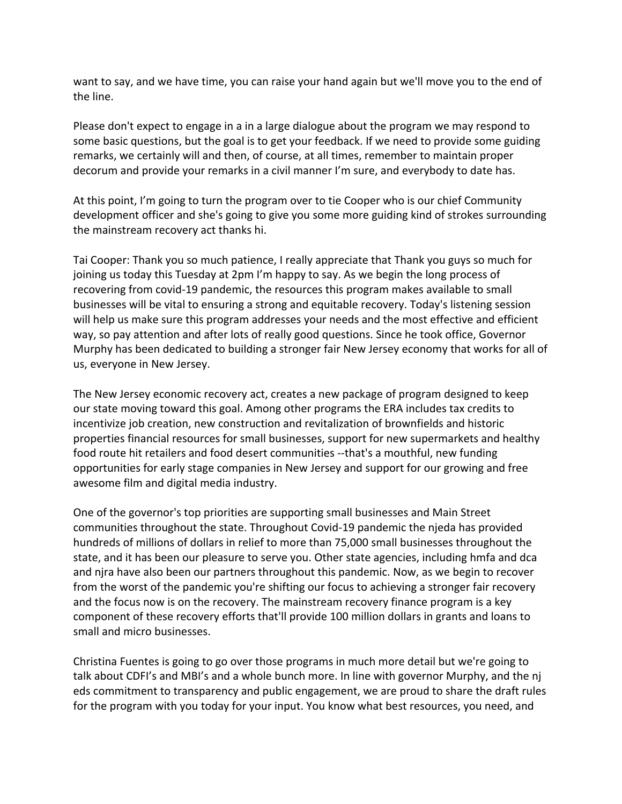want to say, and we have time, you can raise your hand again but we'll move you to the end of the line.

Please don't expect to engage in a in a large dialogue about the program we may respond to some basic questions, but the goal is to get your feedback. If we need to provide some guiding remarks, we certainly will and then, of course, at all times, remember to maintain proper decorum and provide your remarks in a civil manner I'm sure, and everybody to date has.

At this point, I'm going to turn the program over to tie Cooper who is our chief Community development officer and she's going to give you some more guiding kind of strokes surrounding the mainstream recovery act thanks hi.

Tai Cooper: Thank you so much patience, I really appreciate that Thank you guys so much for joining us today this Tuesday at 2pm I'm happy to say. As we begin the long process of recovering from covid-19 pandemic, the resources this program makes available to small businesses will be vital to ensuring a strong and equitable recovery. Today's listening session will help us make sure this program addresses your needs and the most effective and efficient way, so pay attention and after lots of really good questions. Since he took office, Governor Murphy has been dedicated to building a stronger fair New Jersey economy that works for all of us, everyone in New Jersey.

The New Jersey economic recovery act, creates a new package of program designed to keep our state moving toward this goal. Among other programs the ERA includes tax credits to incentivize job creation, new construction and revitalization of brownfields and historic properties financial resources for small businesses, support for new supermarkets and healthy food route hit retailers and food desert communities --that's a mouthful, new funding opportunities for early stage companies in New Jersey and support for our growing and free awesome film and digital media industry.

One of the governor's top priorities are supporting small businesses and Main Street communities throughout the state. Throughout Covid-19 pandemic the njeda has provided hundreds of millions of dollars in relief to more than 75,000 small businesses throughout the state, and it has been our pleasure to serve you. Other state agencies, including hmfa and dca and njra have also been our partners throughout this pandemic. Now, as we begin to recover from the worst of the pandemic you're shifting our focus to achieving a stronger fair recovery and the focus now is on the recovery. The mainstream recovery finance program is a key component of these recovery efforts that'll provide 100 million dollars in grants and loans to small and micro businesses.

Christina Fuentes is going to go over those programs in much more detail but we're going to talk about CDFI's and MBI's and a whole bunch more. In line with governor Murphy, and the nj eds commitment to transparency and public engagement, we are proud to share the draft rules for the program with you today for your input. You know what best resources, you need, and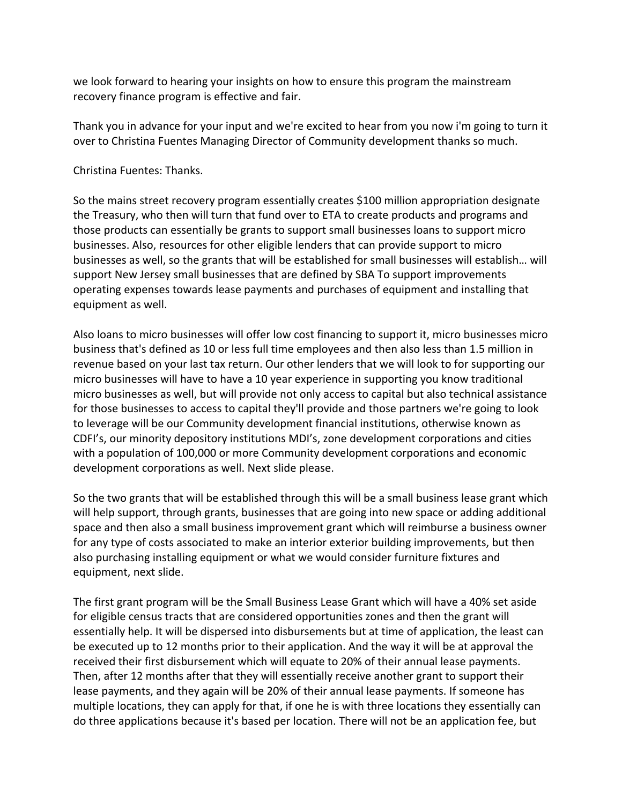we look forward to hearing your insights on how to ensure this program the mainstream recovery finance program is effective and fair.

Thank you in advance for your input and we're excited to hear from you now i'm going to turn it over to Christina Fuentes Managing Director of Community development thanks so much.

Christina Fuentes: Thanks.

So the mains street recovery program essentially creates \$100 million appropriation designate the Treasury, who then will turn that fund over to ETA to create products and programs and those products can essentially be grants to support small businesses loans to support micro businesses. Also, resources for other eligible lenders that can provide support to micro businesses as well, so the grants that will be established for small businesses will establish… will support New Jersey small businesses that are defined by SBA To support improvements operating expenses towards lease payments and purchases of equipment and installing that equipment as well.

Also loans to micro businesses will offer low cost financing to support it, micro businesses micro business that's defined as 10 or less full time employees and then also less than 1.5 million in revenue based on your last tax return. Our other lenders that we will look to for supporting our micro businesses will have to have a 10 year experience in supporting you know traditional micro businesses as well, but will provide not only access to capital but also technical assistance for those businesses to access to capital they'll provide and those partners we're going to look to leverage will be our Community development financial institutions, otherwise known as CDFI's, our minority depository institutions MDI's, zone development corporations and cities with a population of 100,000 or more Community development corporations and economic development corporations as well. Next slide please.

So the two grants that will be established through this will be a small business lease grant which will help support, through grants, businesses that are going into new space or adding additional space and then also a small business improvement grant which will reimburse a business owner for any type of costs associated to make an interior exterior building improvements, but then also purchasing installing equipment or what we would consider furniture fixtures and equipment, next slide.

The first grant program will be the Small Business Lease Grant which will have a 40% set aside for eligible census tracts that are considered opportunities zones and then the grant will essentially help. It will be dispersed into disbursements but at time of application, the least can be executed up to 12 months prior to their application. And the way it will be at approval the received their first disbursement which will equate to 20% of their annual lease payments. Then, after 12 months after that they will essentially receive another grant to support their lease payments, and they again will be 20% of their annual lease payments. If someone has multiple locations, they can apply for that, if one he is with three locations they essentially can do three applications because it's based per location. There will not be an application fee, but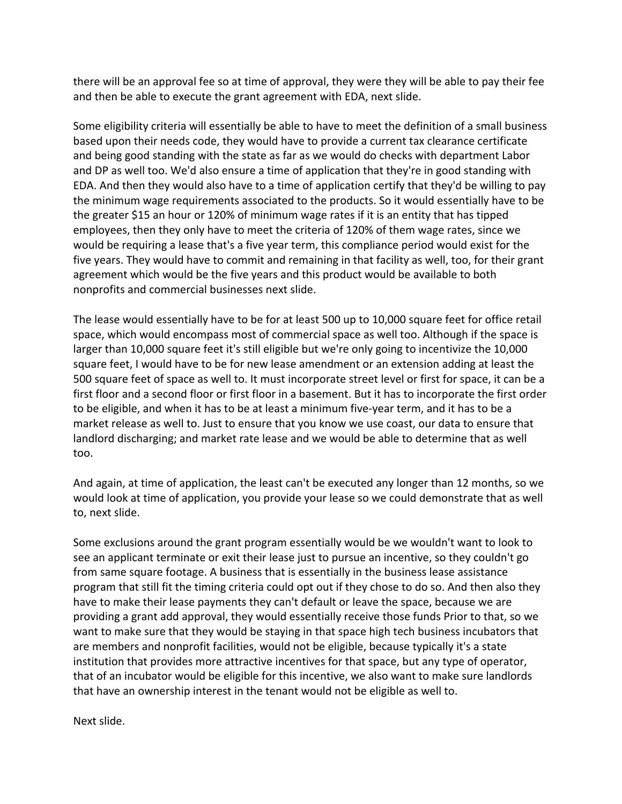there will be an approval fee so at time of approval, they were they will be able to pay their fee and then be able to execute the grant agreement with EDA, next slide.

Some eligibility criteria will essentially be able to have to meet the definition of a small business based upon their needs code, they would have to provide a current tax clearance certificate and being good standing with the state as far as we would do checks with department Labor and DP as well too. We'd also ensure a time of application that they're in good standing with EDA. And then they would also have to a time of application certify that they'd be willing to pay the minimum wage requirements associated to the products. So it would essentially have to be the greater \$15 an hour or 120% of minimum wage rates if it is an entity that has tipped employees, then they only have to meet the criteria of 120% of them wage rates, since we would be requiring a lease that's a five year term, this compliance period would exist for the five years. They would have to commit and remaining in that facility as well, too, for their grant agreement which would be the five years and this product would be available to both nonprofits and commercial businesses next slide.

The lease would essentially have to be for at least 500 up to 10,000 square feet for office retail space, which would encompass most of commercial space as well too. Although if the space is larger than 10,000 square feet it's still eligible but we're only going to incentivize the 10,000 square feet, I would have to be for new lease amendment or an extension adding at least the 500 square feet of space as well to. It must incorporate street level or first for space, it can be a first floor and a second floor or first floor in a basement. But it has to incorporate the first order to be eligible, and when it has to be at least a minimum five-year term, and it has to be a market release as well to. Just to ensure that you know we use coast, our data to ensure that landlord discharging; and market rate lease and we would be able to determine that as well too.

And again, at time of application, the least can't be executed any longer than 12 months, so we would look at time of application, you provide your lease so we could demonstrate that as well to, next slide.

Some exclusions around the grant program essentially would be we wouldn't want to look to see an applicant terminate or exit their lease just to pursue an incentive, so they couldn't go from same square footage. A business that is essentially in the business lease assistance program that still fit the timing criteria could opt out if they chose to do so. And then also they have to make their lease payments they can't default or leave the space, because we are providing a grant add approval, they would essentially receive those funds Prior to that, so we want to make sure that they would be staying in that space high tech business incubators that are members and nonprofit facilities, would not be eligible, because typically it's a state institution that provides more attractive incentives for that space, but any type of operator, that of an incubator would be eligible for this incentive, we also want to make sure landlords that have an ownership interest in the tenant would not be eligible as well to.

Next slide.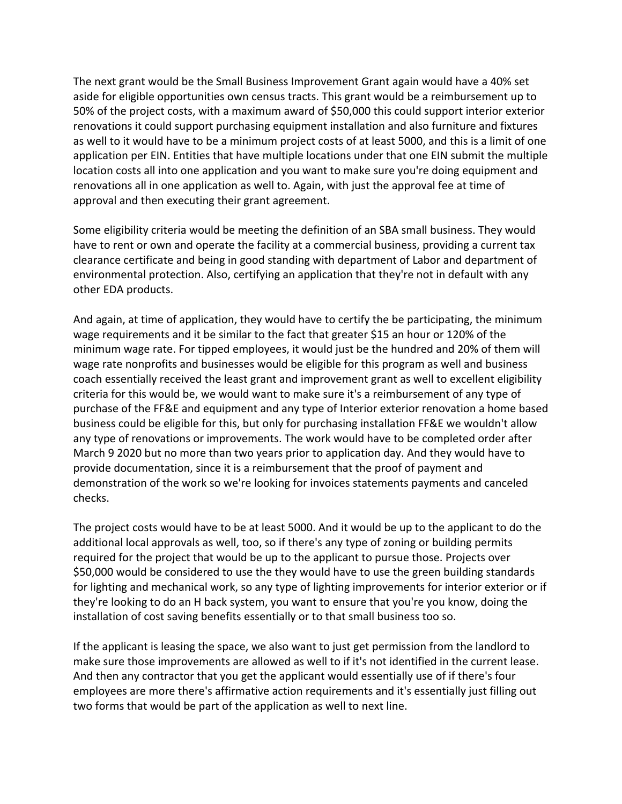The next grant would be the Small Business Improvement Grant again would have a 40% set aside for eligible opportunities own census tracts. This grant would be a reimbursement up to 50% of the project costs, with a maximum award of \$50,000 this could support interior exterior renovations it could support purchasing equipment installation and also furniture and fixtures as well to it would have to be a minimum project costs of at least 5000, and this is a limit of one application per EIN. Entities that have multiple locations under that one EIN submit the multiple location costs all into one application and you want to make sure you're doing equipment and renovations all in one application as well to. Again, with just the approval fee at time of approval and then executing their grant agreement.

Some eligibility criteria would be meeting the definition of an SBA small business. They would have to rent or own and operate the facility at a commercial business, providing a current tax clearance certificate and being in good standing with department of Labor and department of environmental protection. Also, certifying an application that they're not in default with any other EDA products.

And again, at time of application, they would have to certify the be participating, the minimum wage requirements and it be similar to the fact that greater \$15 an hour or 120% of the minimum wage rate. For tipped employees, it would just be the hundred and 20% of them will wage rate nonprofits and businesses would be eligible for this program as well and business coach essentially received the least grant and improvement grant as well to excellent eligibility criteria for this would be, we would want to make sure it's a reimbursement of any type of purchase of the FF&E and equipment and any type of Interior exterior renovation a home based business could be eligible for this, but only for purchasing installation FF&E we wouldn't allow any type of renovations or improvements. The work would have to be completed order after March 9 2020 but no more than two years prior to application day. And they would have to provide documentation, since it is a reimbursement that the proof of payment and demonstration of the work so we're looking for invoices statements payments and canceled checks.

The project costs would have to be at least 5000. And it would be up to the applicant to do the additional local approvals as well, too, so if there's any type of zoning or building permits required for the project that would be up to the applicant to pursue those. Projects over \$50,000 would be considered to use the they would have to use the green building standards for lighting and mechanical work, so any type of lighting improvements for interior exterior or if they're looking to do an H back system, you want to ensure that you're you know, doing the installation of cost saving benefits essentially or to that small business too so.

If the applicant is leasing the space, we also want to just get permission from the landlord to make sure those improvements are allowed as well to if it's not identified in the current lease. And then any contractor that you get the applicant would essentially use of if there's four employees are more there's affirmative action requirements and it's essentially just filling out two forms that would be part of the application as well to next line.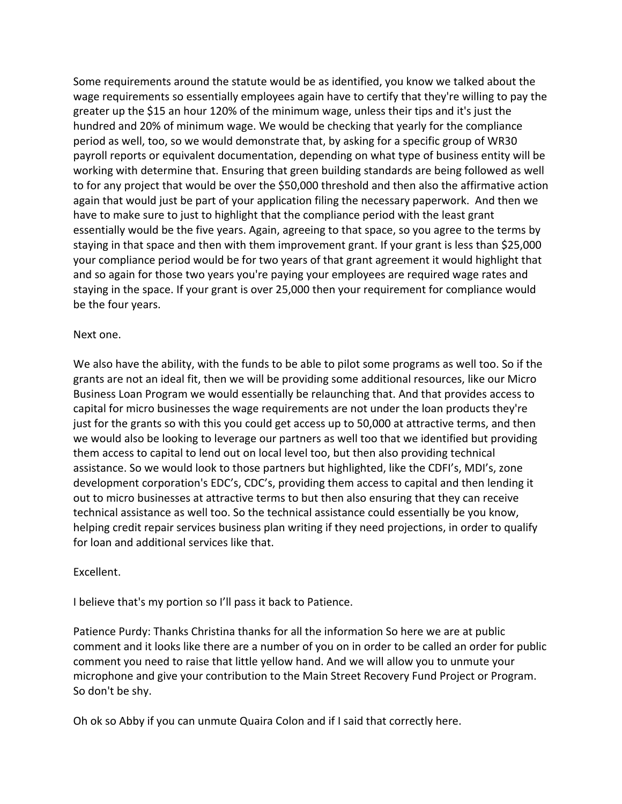Some requirements around the statute would be as identified, you know we talked about the wage requirements so essentially employees again have to certify that they're willing to pay the greater up the \$15 an hour 120% of the minimum wage, unless their tips and it's just the hundred and 20% of minimum wage. We would be checking that yearly for the compliance period as well, too, so we would demonstrate that, by asking for a specific group of WR30 payroll reports or equivalent documentation, depending on what type of business entity will be working with determine that. Ensuring that green building standards are being followed as well to for any project that would be over the \$50,000 threshold and then also the affirmative action again that would just be part of your application filing the necessary paperwork. And then we have to make sure to just to highlight that the compliance period with the least grant essentially would be the five years. Again, agreeing to that space, so you agree to the terms by staying in that space and then with them improvement grant. If your grant is less than \$25,000 your compliance period would be for two years of that grant agreement it would highlight that and so again for those two years you're paying your employees are required wage rates and staying in the space. If your grant is over 25,000 then your requirement for compliance would be the four years.

## Next one.

We also have the ability, with the funds to be able to pilot some programs as well too. So if the grants are not an ideal fit, then we will be providing some additional resources, like our Micro Business Loan Program we would essentially be relaunching that. And that provides access to capital for micro businesses the wage requirements are not under the loan products they're just for the grants so with this you could get access up to 50,000 at attractive terms, and then we would also be looking to leverage our partners as well too that we identified but providing them access to capital to lend out on local level too, but then also providing technical assistance. So we would look to those partners but highlighted, like the CDFI's, MDI's, zone development corporation's EDC's, CDC's, providing them access to capital and then lending it out to micro businesses at attractive terms to but then also ensuring that they can receive technical assistance as well too. So the technical assistance could essentially be you know, helping credit repair services business plan writing if they need projections, in order to qualify for loan and additional services like that.

## Excellent.

I believe that's my portion so I'll pass it back to Patience.

Patience Purdy: Thanks Christina thanks for all the information So here we are at public comment and it looks like there are a number of you on in order to be called an order for public comment you need to raise that little yellow hand. And we will allow you to unmute your microphone and give your contribution to the Main Street Recovery Fund Project or Program. So don't be shy.

Oh ok so Abby if you can unmute Quaira Colon and if I said that correctly here.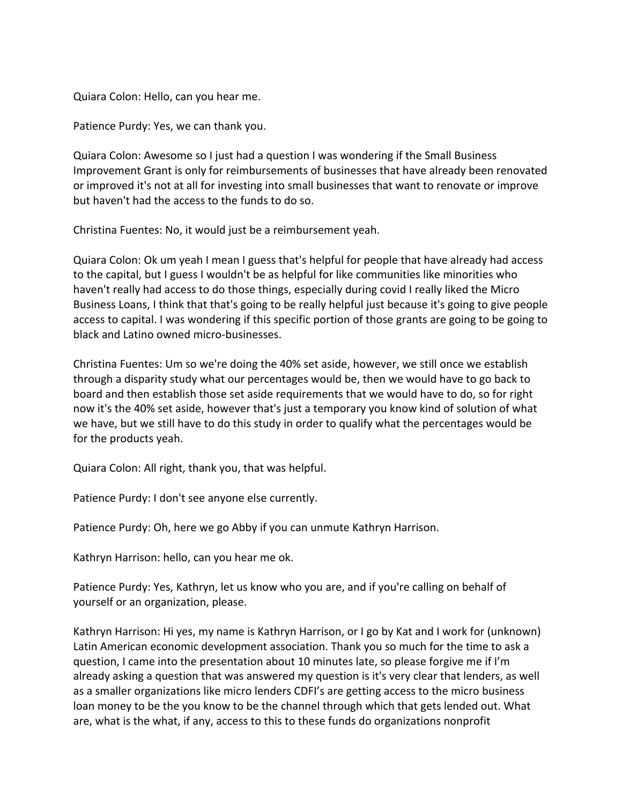Quiara Colon: Hello, can you hear me.

Patience Purdy: Yes, we can thank you.

Quiara Colon: Awesome so I just had a question I was wondering if the Small Business Improvement Grant is only for reimbursements of businesses that have already been renovated or improved it's not at all for investing into small businesses that want to renovate or improve but haven't had the access to the funds to do so.

Christina Fuentes: No, it would just be a reimbursement yeah.

Quiara Colon: Ok um yeah I mean I guess that's helpful for people that have already had access to the capital, but I guess I wouldn't be as helpful for like communities like minorities who haven't really had access to do those things, especially during covid I really liked the Micro Business Loans, I think that that's going to be really helpful just because it's going to give people access to capital. I was wondering if this specific portion of those grants are going to be going to black and Latino owned micro-businesses.

Christina Fuentes: Um so we're doing the 40% set aside, however, we still once we establish through a disparity study what our percentages would be, then we would have to go back to board and then establish those set aside requirements that we would have to do, so for right now it's the 40% set aside, however that's just a temporary you know kind of solution of what we have, but we still have to do this study in order to qualify what the percentages would be for the products yeah.

Quiara Colon: All right, thank you, that was helpful.

Patience Purdy: I don't see anyone else currently.

Patience Purdy: Oh, here we go Abby if you can unmute Kathryn Harrison.

Kathryn Harrison: hello, can you hear me ok.

Patience Purdy: Yes, Kathryn, let us know who you are, and if you're calling on behalf of yourself or an organization, please.

Kathryn Harrison: Hi yes, my name is Kathryn Harrison, or I go by Kat and I work for (unknown) Latin American economic development association. Thank you so much for the time to ask a question, I came into the presentation about 10 minutes late, so please forgive me if I'm already asking a question that was answered my question is it's very clear that lenders, as well as a smaller organizations like micro lenders CDFI's are getting access to the micro business loan money to be the you know to be the channel through which that gets lended out. What are, what is the what, if any, access to this to these funds do organizations nonprofit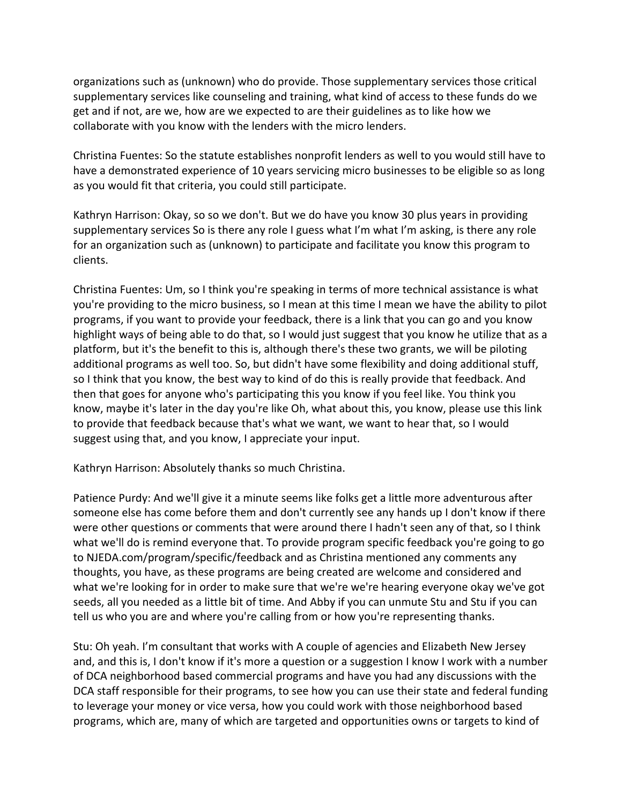organizations such as (unknown) who do provide. Those supplementary services those critical supplementary services like counseling and training, what kind of access to these funds do we get and if not, are we, how are we expected to are their guidelines as to like how we collaborate with you know with the lenders with the micro lenders.

Christina Fuentes: So the statute establishes nonprofit lenders as well to you would still have to have a demonstrated experience of 10 years servicing micro businesses to be eligible so as long as you would fit that criteria, you could still participate.

Kathryn Harrison: Okay, so so we don't. But we do have you know 30 plus years in providing supplementary services So is there any role I guess what I'm what I'm asking, is there any role for an organization such as (unknown) to participate and facilitate you know this program to clients.

Christina Fuentes: Um, so I think you're speaking in terms of more technical assistance is what you're providing to the micro business, so I mean at this time I mean we have the ability to pilot programs, if you want to provide your feedback, there is a link that you can go and you know highlight ways of being able to do that, so I would just suggest that you know he utilize that as a platform, but it's the benefit to this is, although there's these two grants, we will be piloting additional programs as well too. So, but didn't have some flexibility and doing additional stuff, so I think that you know, the best way to kind of do this is really provide that feedback. And then that goes for anyone who's participating this you know if you feel like. You think you know, maybe it's later in the day you're like Oh, what about this, you know, please use this link to provide that feedback because that's what we want, we want to hear that, so I would suggest using that, and you know, I appreciate your input.

Kathryn Harrison: Absolutely thanks so much Christina.

Patience Purdy: And we'll give it a minute seems like folks get a little more adventurous after someone else has come before them and don't currently see any hands up I don't know if there were other questions or comments that were around there I hadn't seen any of that, so I think what we'll do is remind everyone that. To provide program specific feedback you're going to go to NJEDA.com/program/specific/feedback and as Christina mentioned any comments any thoughts, you have, as these programs are being created are welcome and considered and what we're looking for in order to make sure that we're we're hearing everyone okay we've got seeds, all you needed as a little bit of time. And Abby if you can unmute Stu and Stu if you can tell us who you are and where you're calling from or how you're representing thanks.

Stu: Oh yeah. I'm consultant that works with A couple of agencies and Elizabeth New Jersey and, and this is, I don't know if it's more a question or a suggestion I know I work with a number of DCA neighborhood based commercial programs and have you had any discussions with the DCA staff responsible for their programs, to see how you can use their state and federal funding to leverage your money or vice versa, how you could work with those neighborhood based programs, which are, many of which are targeted and opportunities owns or targets to kind of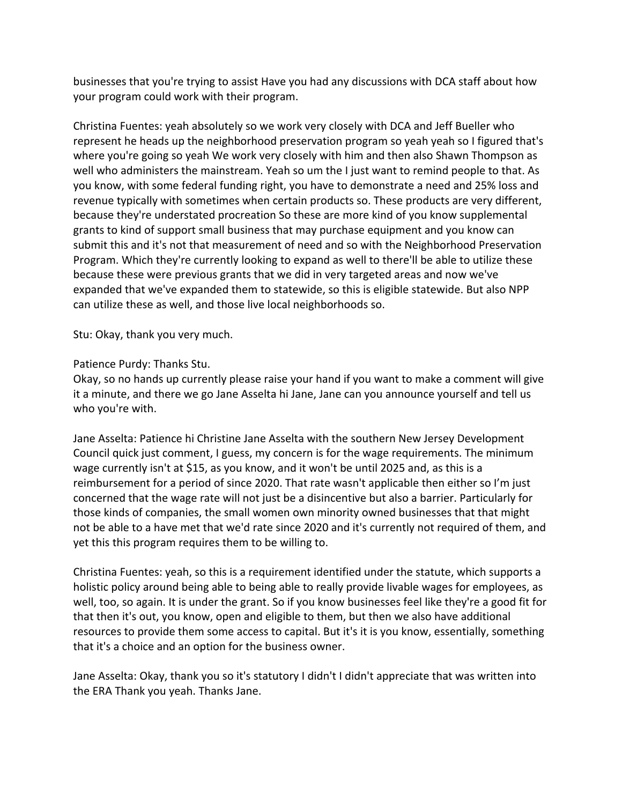businesses that you're trying to assist Have you had any discussions with DCA staff about how your program could work with their program.

Christina Fuentes: yeah absolutely so we work very closely with DCA and Jeff Bueller who represent he heads up the neighborhood preservation program so yeah yeah so I figured that's where you're going so yeah We work very closely with him and then also Shawn Thompson as well who administers the mainstream. Yeah so um the I just want to remind people to that. As you know, with some federal funding right, you have to demonstrate a need and 25% loss and revenue typically with sometimes when certain products so. These products are very different, because they're understated procreation So these are more kind of you know supplemental grants to kind of support small business that may purchase equipment and you know can submit this and it's not that measurement of need and so with the Neighborhood Preservation Program. Which they're currently looking to expand as well to there'll be able to utilize these because these were previous grants that we did in very targeted areas and now we've expanded that we've expanded them to statewide, so this is eligible statewide. But also NPP can utilize these as well, and those live local neighborhoods so.

Stu: Okay, thank you very much.

## Patience Purdy: Thanks Stu.

Okay, so no hands up currently please raise your hand if you want to make a comment will give it a minute, and there we go Jane Asselta hi Jane, Jane can you announce yourself and tell us who you're with.

Jane Asselta: Patience hi Christine Jane Asselta with the southern New Jersey Development Council quick just comment, I guess, my concern is for the wage requirements. The minimum wage currently isn't at \$15, as you know, and it won't be until 2025 and, as this is a reimbursement for a period of since 2020. That rate wasn't applicable then either so I'm just concerned that the wage rate will not just be a disincentive but also a barrier. Particularly for those kinds of companies, the small women own minority owned businesses that that might not be able to a have met that we'd rate since 2020 and it's currently not required of them, and yet this this program requires them to be willing to.

Christina Fuentes: yeah, so this is a requirement identified under the statute, which supports a holistic policy around being able to being able to really provide livable wages for employees, as well, too, so again. It is under the grant. So if you know businesses feel like they're a good fit for that then it's out, you know, open and eligible to them, but then we also have additional resources to provide them some access to capital. But it's it is you know, essentially, something that it's a choice and an option for the business owner.

Jane Asselta: Okay, thank you so it's statutory I didn't I didn't appreciate that was written into the ERA Thank you yeah. Thanks Jane.